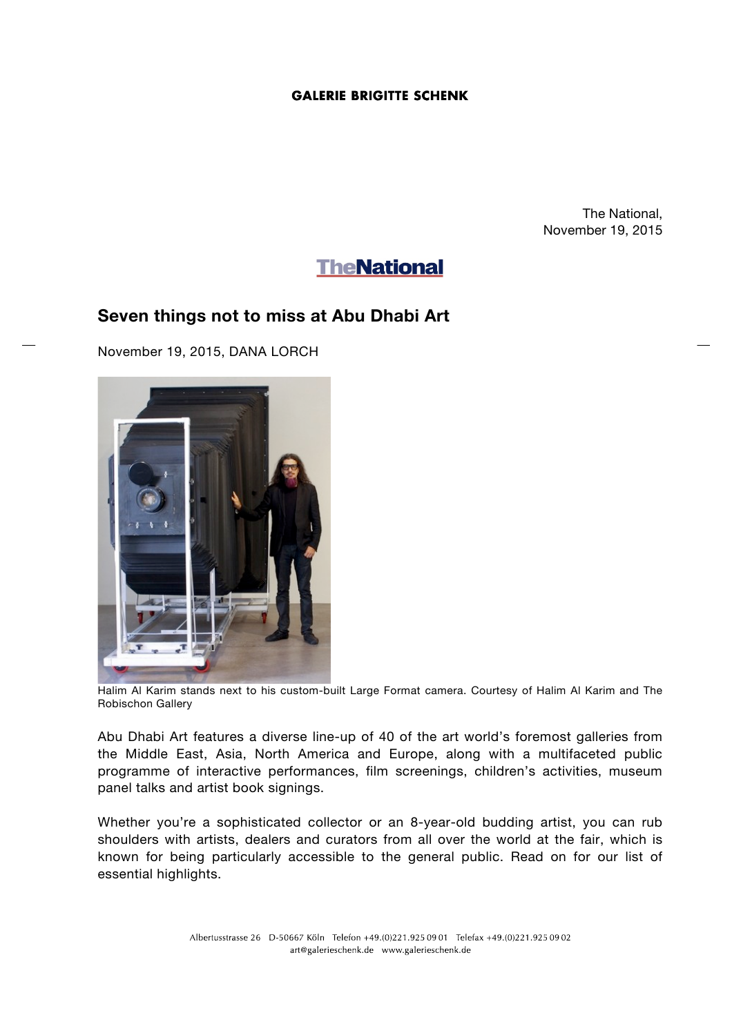## **GALERIE BRIGITTE SCHENK**

The National, November 19, 2015

# **TheNational**

# **Seven things not to miss at Abu Dhabi Art**

November 19, 2015, DANA LORCH



Halim Al Karim stands next to his custom-built Large Format camera. Courtesy of Halim Al Karim and The Robischon Gallery

Abu Dhabi Art features a diverse line-up of 40 of the art world's foremost galleries from the Middle East, Asia, North America and Europe, along with a multifaceted public programme of interactive performances, film screenings, children's activities, museum panel talks and artist book signings.

Whether you're a sophisticated collector or an 8-year-old budding artist, you can rub shoulders with artists, dealers and curators from all over the world at the fair, which is known for being particularly accessible to the general public. Read on for our list of essential highlights.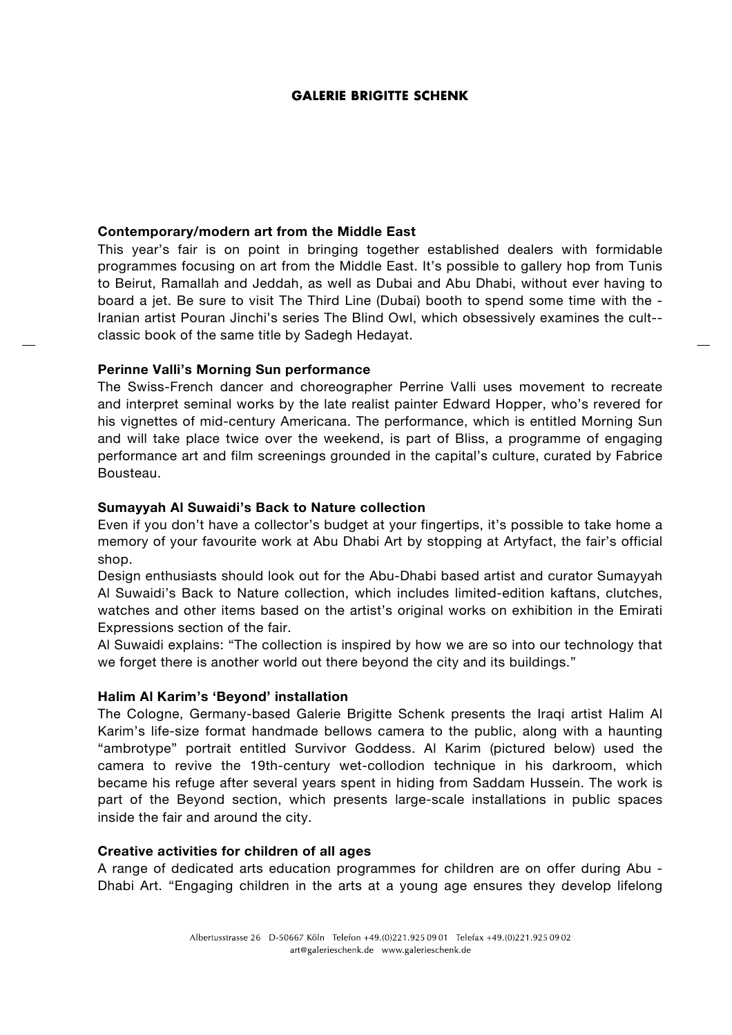#### **GALERIE BRIGITTE SCHENK**

#### **Contemporary/modern art from the Middle East**

This year's fair is on point in bringing together established dealers with formidable programmes focusing on art from the Middle East. It's possible to gallery hop from Tunis to Beirut, Ramallah and Jeddah, as well as Dubai and Abu Dhabi, without ever having to board a jet. Be sure to visit The Third Line (Dubai) booth to spend some time with the - Iranian artist Pouran Jinchi's series The Blind Owl, which obsessively examines the cult- classic book of the same title by Sadegh Hedayat.

#### **Perinne Valli's Morning Sun performance**

The Swiss-French dancer and choreographer Perrine Valli uses movement to recreate and interpret seminal works by the late realist painter Edward Hopper, who's revered for his vignettes of mid-century Americana. The performance, which is entitled Morning Sun and will take place twice over the weekend, is part of Bliss, a programme of engaging performance art and film screenings grounded in the capital's culture, curated by Fabrice Bousteau.

#### **Sumayyah Al Suwaidi's Back to Nature collection**

Even if you don't have a collector's budget at your fingertips, it's possible to take home a memory of your favourite work at Abu Dhabi Art by stopping at Artyfact, the fair's official shop.

Design enthusiasts should look out for the Abu-Dhabi based artist and curator Sumayyah Al Suwaidi's Back to Nature collection, which includes limited-edition kaftans, clutches, watches and other items based on the artist's original works on exhibition in the Emirati Expressions section of the fair.

Al Suwaidi explains: "The collection is inspired by how we are so into our technology that we forget there is another world out there beyond the city and its buildings."

#### **Halim Al Karim's 'Beyond' installation**

The Cologne, Germany-based Galerie Brigitte Schenk presents the Iraqi artist Halim Al Karim's life-size format handmade bellows camera to the public, along with a haunting "ambrotype" portrait entitled Survivor Goddess. Al Karim (pictured below) used the camera to revive the 19th-century wet-collodion technique in his darkroom, which became his refuge after several years spent in hiding from Saddam Hussein. The work is part of the Beyond section, which presents large-scale installations in public spaces inside the fair and around the city.

#### **Creative activities for children of all ages**

A range of dedicated arts education programmes for children are on offer during Abu - Dhabi Art. "Engaging children in the arts at a young age ensures they develop lifelong